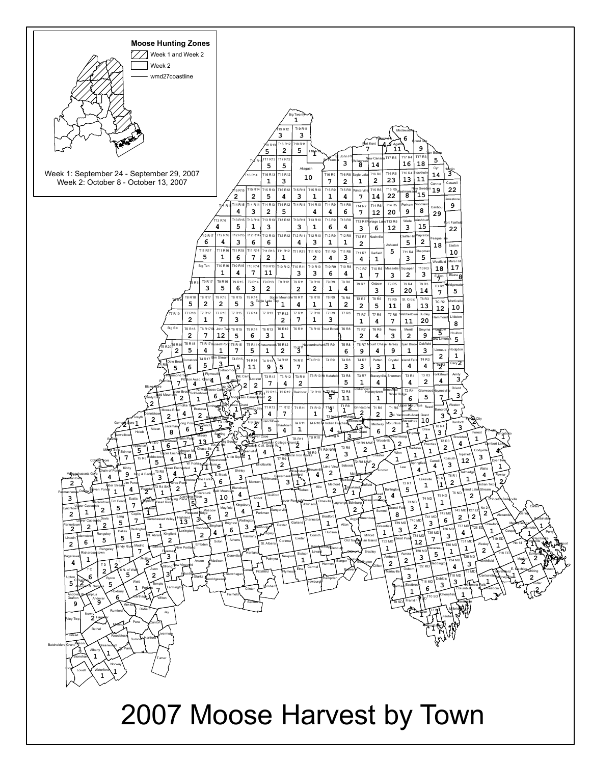